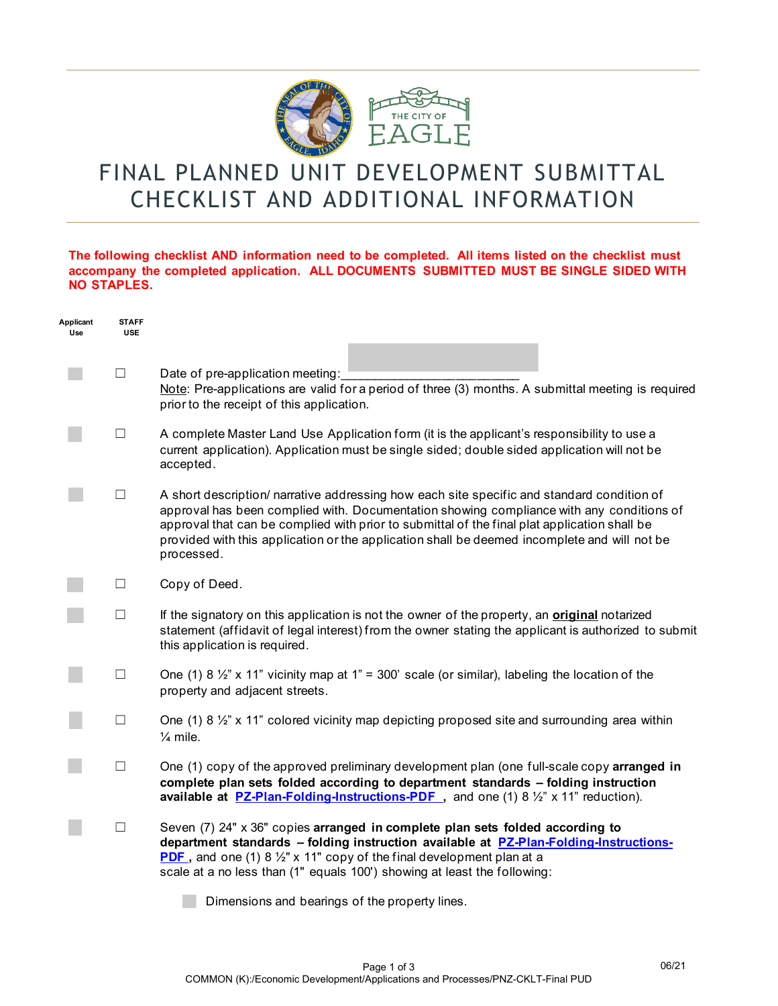

## FINAL PLANNED UNIT DEVELOPMENT SUBMITTAL CHECKLIST AND ADDITIONAL INFORMATION

## **The following checklist AND information need to be completed. All items listed on the checklist must accompany the completed application. ALL DOCUMENTS SUBMITTED MUST BE SINGLE SIDED WITH NO STAPLES.**

| Applicant<br>Use | <b>STAFF</b><br><b>USE</b> |                                                                                                                                                                                                                                                                                                                                                                                                      |
|------------------|----------------------------|------------------------------------------------------------------------------------------------------------------------------------------------------------------------------------------------------------------------------------------------------------------------------------------------------------------------------------------------------------------------------------------------------|
|                  | $\Box$                     | Date of pre-application meeting:<br>Note: Pre-applications are valid for a period of three (3) months. A submittal meeting is required<br>prior to the receipt of this application.                                                                                                                                                                                                                  |
|                  | $\Box$                     | A complete Master Land Use Application form (it is the applicant's responsibility to use a<br>current application). Application must be single sided; double sided application will not be<br>accepted.                                                                                                                                                                                              |
|                  | □                          | A short description/ narrative addressing how each site specific and standard condition of<br>approval has been complied with. Documentation showing compliance with any conditions of<br>approval that can be complied with prior to submittal of the final plat application shall be<br>provided with this application or the application shall be deemed incomplete and will not be<br>processed. |
|                  | $\Box$                     | Copy of Deed.                                                                                                                                                                                                                                                                                                                                                                                        |
|                  | $\Box$                     | If the signatory on this application is not the owner of the property, an <b>original</b> notarized<br>statement (affidavit of legal interest) from the owner stating the applicant is authorized to submit<br>this application is required.                                                                                                                                                         |
|                  | $\Box$                     | One (1) 8 $\frac{1}{2}$ " x 11" vicinity map at 1" = 300' scale (or similar), labeling the location of the<br>property and adjacent streets.                                                                                                                                                                                                                                                         |
|                  | $\Box$                     | One (1) 8 $\frac{1}{2}$ " x 11" colored vicinity map depicting proposed site and surrounding area within<br>$\frac{1}{4}$ mile.                                                                                                                                                                                                                                                                      |
|                  | $\Box$                     | One (1) copy of the approved preliminary development plan (one full-scale copy arranged in<br>complete plan sets folded according to department standards - folding instruction<br>available at <b>PZ-Plan-Folding-Instructions-PDF</b> , and one (1) $8\frac{1}{2}$ x 11" reduction).                                                                                                               |
|                  | $\Box$                     | Seven (7) 24" x 36" copies arranged in complete plan sets folded according to<br>department standards - folding instruction available at PZ-Plan-Folding-Instructions-<br><b>PDF</b> , and one (1) 8 $\frac{1}{2}$ " x 11" copy of the final development plan at a<br>scale at a no less than (1" equals 100') showing at least the following:                                                       |
|                  |                            | Dimensions and bearings of the property lines.                                                                                                                                                                                                                                                                                                                                                       |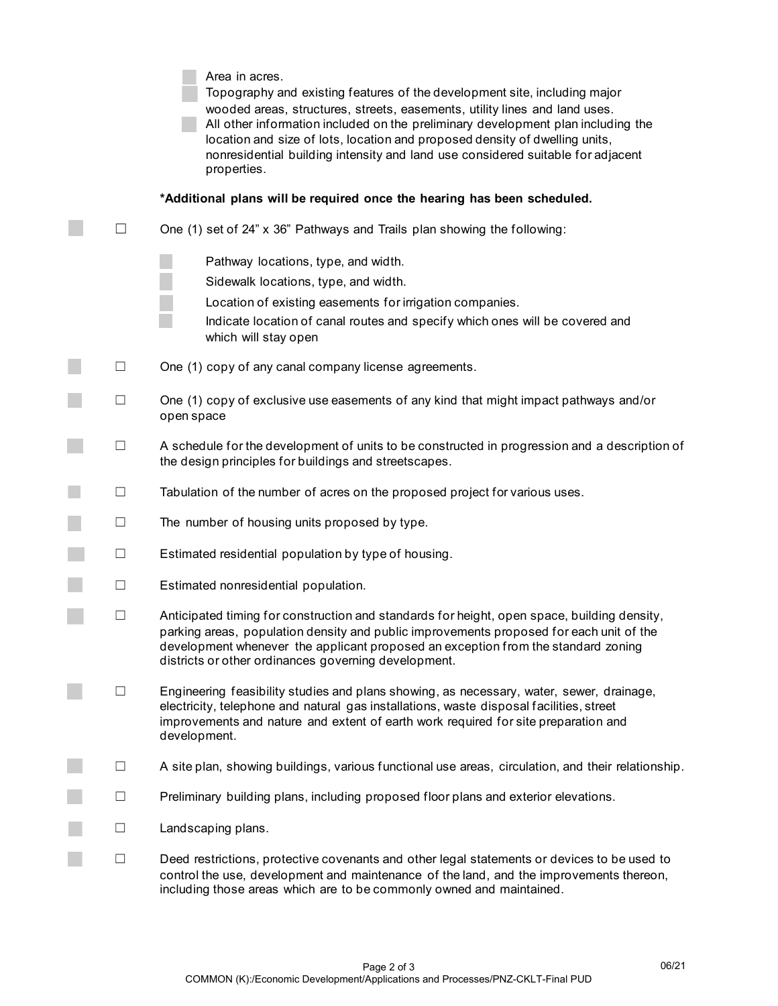|                   | Area in acres.<br>Topography and existing features of the development site, including major<br>wooded areas, structures, streets, easements, utility lines and land uses.<br>All other information included on the preliminary development plan including the<br>location and size of lots, location and proposed density of dwelling units,<br>nonresidential building intensity and land use considered suitable for adjacent<br>properties. |
|-------------------|------------------------------------------------------------------------------------------------------------------------------------------------------------------------------------------------------------------------------------------------------------------------------------------------------------------------------------------------------------------------------------------------------------------------------------------------|
|                   | *Additional plans will be required once the hearing has been scheduled.                                                                                                                                                                                                                                                                                                                                                                        |
| $\vert \ \ \vert$ | One (1) set of 24" x 36" Pathways and Trails plan showing the following:                                                                                                                                                                                                                                                                                                                                                                       |
|                   | Pathway locations, type, and width.<br>Sidewalk locations, type, and width.<br>Location of existing easements for irrigation companies.<br>Indicate location of canal routes and specify which ones will be covered and<br>which will stay open                                                                                                                                                                                                |
| $\Box$            | One (1) copy of any canal company license agreements.                                                                                                                                                                                                                                                                                                                                                                                          |
| $\Box$            | One (1) copy of exclusive use easements of any kind that might impact pathways and/or<br>open space                                                                                                                                                                                                                                                                                                                                            |
| $\Box$            | A schedule for the development of units to be constructed in progression and a description of<br>the design principles for buildings and streetscapes.                                                                                                                                                                                                                                                                                         |
| $\Box$            | Tabulation of the number of acres on the proposed project for various uses.                                                                                                                                                                                                                                                                                                                                                                    |
| $\Box$            | The number of housing units proposed by type.                                                                                                                                                                                                                                                                                                                                                                                                  |
| $\Box$            | Estimated residential population by type of housing.                                                                                                                                                                                                                                                                                                                                                                                           |
| $\Box$            | Estimated nonresidential population.                                                                                                                                                                                                                                                                                                                                                                                                           |
| $\Box$            | Anticipated timing for construction and standards for height, open space, building density,<br>parking areas, population density and public improvements proposed for each unit of the<br>development whenever the applicant proposed an exception from the standard zoning<br>districts or other ordinances governing development.                                                                                                            |
| $\Box$            | Engineering feasibility studies and plans showing, as necessary, water, sewer, drainage,<br>electricity, telephone and natural gas installations, waste disposal facilities, street<br>improvements and nature and extent of earth work required for site preparation and<br>development.                                                                                                                                                      |
| ப                 | A site plan, showing buildings, various functional use areas, circulation, and their relationship.                                                                                                                                                                                                                                                                                                                                             |
| Ш                 | Preliminary building plans, including proposed floor plans and exterior elevations.                                                                                                                                                                                                                                                                                                                                                            |
| $\Box$            | Landscaping plans.                                                                                                                                                                                                                                                                                                                                                                                                                             |
| $\Box$            | Deed restrictions, protective covenants and other legal statements or devices to be used to<br>control the use, development and maintenance of the land, and the improvements thereon,<br>including those areas which are to be commonly owned and maintained.                                                                                                                                                                                 |